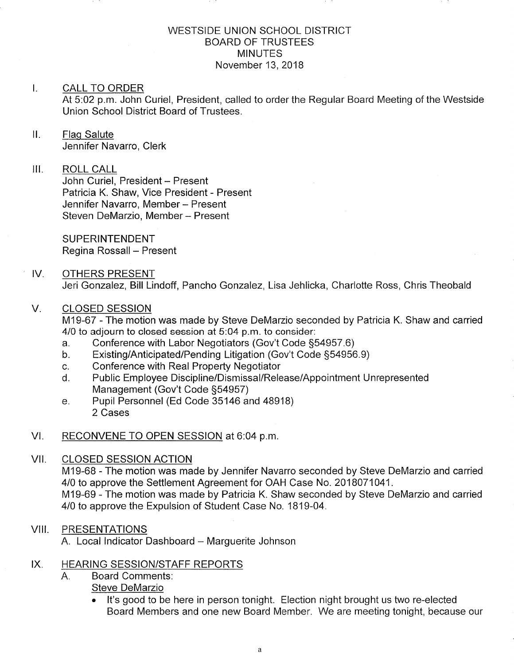#### WESTSIDE UNION SCHOOL DISTRICT BOARD OF TRUSTEES MINUTES November 13,2018

#### I. CALL TO ORDER

At 5.02 p.m. John Curiel, President, called to order the Regular Board Meeting of the Westside Union School District Board of Trustees.

### ll. Flaq Salute Jennifer Navarro, Clerk

#### III. ROLL CALL

John Curiel, President - Present Patricia K. Shaw, Vice President - Present Jennifer Navarro, Member - Present Steven DeMarzio, Member - Present

**SUPERINTENDENT** Regina Rossall - Present

### IV. OTHERS PRESENT Jeri Gonzalez, Bill Lindoff, Pancho Gonzalez, Lisa Jehlicka, Charlotte Ross, Chris Theobald

#### V. CLOSED SESSION

M19-67 - The motion was made by Steve DeMarzio seconded by Patricia K. Shaw and carried 4/0 to adjourn to closed session at 5:04 p.m. to consider:

- a. Conference with Labor Negotiators (Gov't Code §54957.6)<br>b. Existing/Anticipated/Pending Litigation (Gov't Code §54956.9)
- 
- 
- c. Conference with Real Property Negotiator<br>d. Public Employee Discipline/Dismissal/Release/Appointment Unrepresented<br>Management (Gov't Code §54957)
- e. Pupil Personnel (Ed Code 35146 and 48918) 2 Cases

#### VI. RECONVENE TO OPEN SESSION at 6:04 p.m.

#### VII. CLOSED SESSION ACTION

M19-68 - The motion was made by Jennifer Navarro seconded by Steve DeMarzio and carried 4/0 to approve the Settlement Agreement for OAH Case No. 2018071041. M19-69 - The motion was made by Patricia K. Shaw seconded by Steve DeMarzio and carried 4/0 to approve the Expulsion of Student Case No. 1819-04.

#### VIII. PRESENTATIONS

A. Local Indicator Dashboard - Marguerite Johnson

#### IX. HEARING SESSION/STAFF REPORTS

- Board Comments: Steve DeMarzio  $A_{\cdot}$ 
	- . lt's good to be here in person tonight. Election night brought us two re-elected Board Members and one new Board Member. We are meeting tonight, because our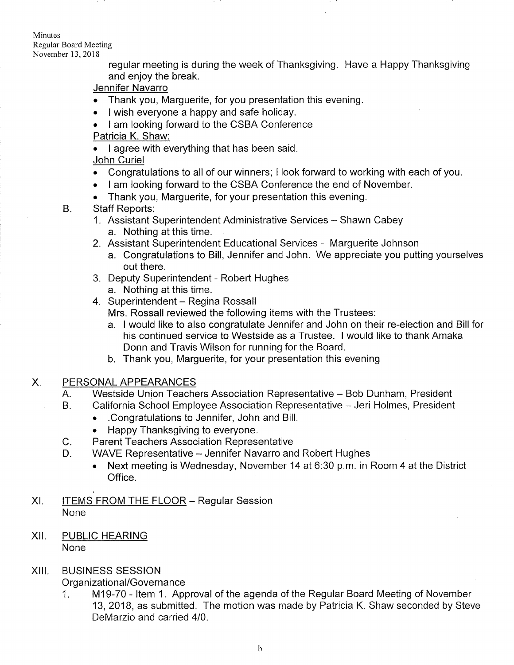Minutes Regular Board Meeting November 13,2018

B.

regular meeting is during the week of Thanksgiving. Have a Happy Thanksgiving and enjoy the break.

Jennifer Navarro

- Thank you, Marguerite, for you presentation this evening.
- I wish everyone a happy and safe holiday.
- I am looking forward to the CSBA Conference
- Patricia K. Shaw:

. I agree with everything that has been said. John Curiel

- . Congratulations to all of our winners; I look forward to working with each of you.
- I am looking forward to the CSBA Conference the end of November.
- . Thank you, Marguerite, for your presentation this evening.

Staff Reports:

- 1. Assistant Superintendent Administrative Services Shawn Cabey a. Nothing at this time.
- 2. Assistant Superintendent Educational Services Marguerite Johnson
	- a. Congratulations to Bill, Jennifer and John. We appreciate you putting yourselves out there.
- 3. Deputy Superintendent Robert Hughes a. Nothing at this time.<br>4. Superintendent - Regina Rossall

Mrs. Rossall reviewed the following items with the Trustees:

- a. I would like to also congratulate Jennifer and John on their re-election and Bill for his continued service to Westside as a Trustee. I would like to thank Amaka Donn and Travis Wilson for running for the Board.
- b. Thank you, Marguerite, for your presentation this evening
- X. PERSONAL APPEARANCES
	- A. Westside Union Teachers Association Representative Bob Dunham, President
	- California School Employee Association Representative Jeri Holmes, President  $B<sub>1</sub>$ 
		- . .Congratulations to Jennifer, John and Bill.
		- . Happy Thanksgiving to everyone.
	- Parent Teachers Association Representative  $C_{\cdot}$
	- WAVE Representative Jennifer Navarro and Robert Hughes D.
		- . Next meeting is Wednesday, November 14 at 6:30 p.m. in Room 4 at the District Office.
- XI. ITEMS FROM THE FLOOR Regular Session None
- XII. PUBLIC HEARING None

#### BUSINESS SESSION XIII.

Organizational/Governance

<sup>1</sup>. M19-70 - ltem <sup>1</sup>. Approval of the agenda of the Regular Board Meeting of November 13,2018, as submitted. The motion was made by Patricia K. Shaw seconded by Steve DeMarzio and carried 410.